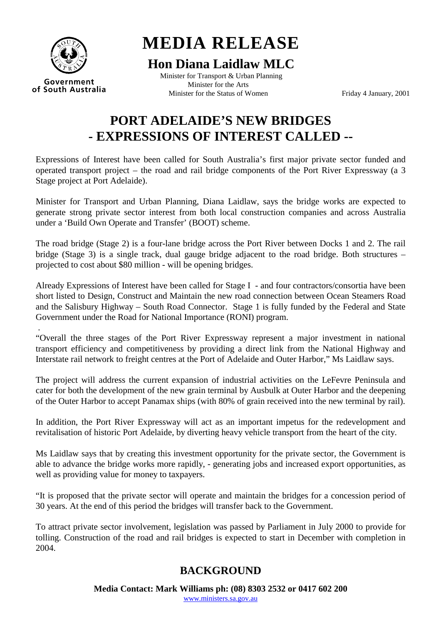

**MEDIA RELEASE** 

## **Hon Diana Laidlaw MLC**

Minister for Transport & Urban Planning Minister for the Arts of South Australia<br>Minister for the Status of Women Friday 4 January, 2001

## **PORT ADELAIDE'S NEW BRIDGES - EXPRESSIONS OF INTEREST CALLED --**

Expressions of Interest have been called for South Australia's first major private sector funded and operated transport project – the road and rail bridge components of the Port River Expressway (a 3 Stage project at Port Adelaide).

Minister for Transport and Urban Planning, Diana Laidlaw, says the bridge works are expected to generate strong private sector interest from both local construction companies and across Australia under a 'Build Own Operate and Transfer' (BOOT) scheme.

The road bridge (Stage 2) is a four-lane bridge across the Port River between Docks 1 and 2. The rail bridge (Stage 3) is a single track, dual gauge bridge adjacent to the road bridge. Both structures – projected to cost about \$80 million - will be opening bridges.

Already Expressions of Interest have been called for Stage I - and four contractors/consortia have been short listed to Design, Construct and Maintain the new road connection between Ocean Steamers Road and the Salisbury Highway – South Road Connector. Stage 1 is fully funded by the Federal and State Government under the Road for National Importance (RONI) program.

 . "Overall the three stages of the Port River Expressway represent a major investment in national transport efficiency and competitiveness by providing a direct link from the National Highway and Interstate rail network to freight centres at the Port of Adelaide and Outer Harbor," Ms Laidlaw says.

The project will address the current expansion of industrial activities on the LeFevre Peninsula and cater for both the development of the new grain terminal by Ausbulk at Outer Harbor and the deepening of the Outer Harbor to accept Panamax ships (with 80% of grain received into the new terminal by rail).

In addition, the Port River Expressway will act as an important impetus for the redevelopment and revitalisation of historic Port Adelaide, by diverting heavy vehicle transport from the heart of the city.

Ms Laidlaw says that by creating this investment opportunity for the private sector, the Government is able to advance the bridge works more rapidly, - generating jobs and increased export opportunities, as well as providing value for money to taxpayers.

"It is proposed that the private sector will operate and maintain the bridges for a concession period of 30 years. At the end of this period the bridges will transfer back to the Government.

To attract private sector involvement, legislation was passed by Parliament in July 2000 to provide for tolling. Construction of the road and rail bridges is expected to start in December with completion in 2004.

## **BACKGROUND**

**Media Contact: Mark Williams ph: (08) 8303 2532 or 0417 602 200** 

[www.ministers.sa.gov.au](http://www.ministers.sa.gov.au)